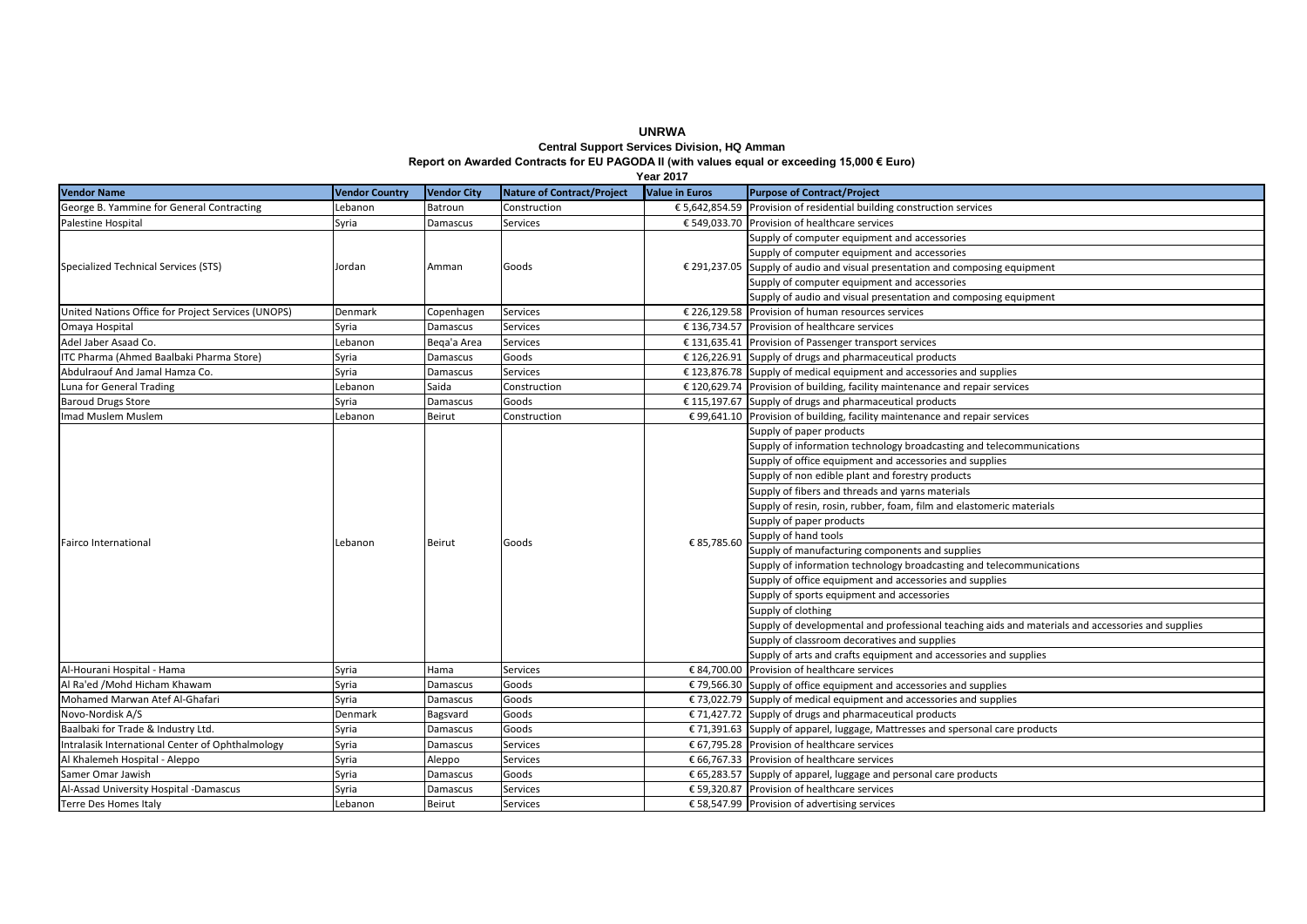**Central Support Services Division, HQ Amman Report on Awarded Contracts for EU PAGODA II (with values equal or exceeding 15,000 € Euro)**

| <b>Year 2017</b>                                   |                       |                    |                                   |                       |                                                                                                   |  |  |  |
|----------------------------------------------------|-----------------------|--------------------|-----------------------------------|-----------------------|---------------------------------------------------------------------------------------------------|--|--|--|
| <b>Vendor Name</b>                                 | <b>Vendor Country</b> | <b>Vendor City</b> | <b>Nature of Contract/Project</b> | <b>Value in Euros</b> | <b>Purpose of Contract/Project</b>                                                                |  |  |  |
| George B. Yammine for General Contracting          | Lebanon               | Batroun            | Construction                      |                       | € 5,642,854.59 Provision of residential building construction services                            |  |  |  |
| Palestine Hospital                                 | Syria                 | Damascus           | <b>Services</b>                   |                       | € 549,033.70 Provision of healthcare services                                                     |  |  |  |
| Specialized Technical Services (STS)               |                       | Amman              | Goods                             |                       | Supply of computer equipment and accessories                                                      |  |  |  |
|                                                    | Jordan                |                    |                                   |                       | Supply of computer equipment and accessories                                                      |  |  |  |
|                                                    |                       |                    |                                   |                       | € 291,237.05 Supply of audio and visual presentation and composing equipment                      |  |  |  |
|                                                    |                       |                    |                                   |                       | Supply of computer equipment and accessories                                                      |  |  |  |
|                                                    |                       |                    |                                   |                       | Supply of audio and visual presentation and composing equipment                                   |  |  |  |
| United Nations Office for Project Services (UNOPS) | Denmark               | Copenhagen         | Services                          |                       | € 226.129.58 Provision of human resources services                                                |  |  |  |
| Omaya Hospital                                     | Syria                 | Damascus           | Services                          |                       | € 136,734.57 Provision of healthcare services                                                     |  |  |  |
| Adel Jaber Asaad Co.                               | Lebanon               | Bega'a Area        | Services                          |                       | € 131,635.41 Provision of Passenger transport services                                            |  |  |  |
| ITC Pharma (Ahmed Baalbaki Pharma Store)           | Syria                 | Damascus           | Goods                             |                       | € 126,226.91 Supply of drugs and pharmaceutical products                                          |  |  |  |
| Abdulraouf And Jamal Hamza Co.                     | Syria                 | Damascus           | Services                          |                       | $£$ 123,876.78 Supply of medical equipment and accessories and supplies                           |  |  |  |
| Luna for General Trading                           | Lebanon               | Saida              | Construction                      |                       | $£ 120,629.74$ Provision of building, facility maintenance and repair services                    |  |  |  |
| <b>Baroud Drugs Store</b>                          | Syria                 | Damascus           | Goods                             |                       | $£$ 115,197.67 Supply of drugs and pharmaceutical products                                        |  |  |  |
| Imad Muslem Muslem                                 | Lebanon               | Beirut             | Construction                      |                       | € 99,641.10 Provision of building, facility maintenance and repair services                       |  |  |  |
|                                                    |                       | Beirut             | Goods                             | € 85,785.60           | Supply of paper products                                                                          |  |  |  |
|                                                    |                       |                    |                                   |                       | Supply of information technology broadcasting and telecommunications                              |  |  |  |
|                                                    |                       |                    |                                   |                       | Supply of office equipment and accessories and supplies                                           |  |  |  |
|                                                    | Lebanon               |                    |                                   |                       | Supply of non edible plant and forestry products                                                  |  |  |  |
|                                                    |                       |                    |                                   |                       | Supply of fibers and threads and yarns materials                                                  |  |  |  |
|                                                    |                       |                    |                                   |                       | Supply of resin, rosin, rubber, foam, film and elastomeric materials                              |  |  |  |
|                                                    |                       |                    |                                   |                       | Supply of paper products                                                                          |  |  |  |
|                                                    |                       |                    |                                   |                       | Supply of hand tools                                                                              |  |  |  |
| <b>Fairco International</b>                        |                       |                    |                                   |                       | Supply of manufacturing components and supplies                                                   |  |  |  |
|                                                    |                       |                    |                                   |                       | Supply of information technology broadcasting and telecommunications                              |  |  |  |
|                                                    |                       |                    |                                   |                       | Supply of office equipment and accessories and supplies                                           |  |  |  |
|                                                    |                       |                    |                                   |                       | Supply of sports equipment and accessories                                                        |  |  |  |
|                                                    |                       |                    |                                   |                       | Supply of clothing                                                                                |  |  |  |
|                                                    |                       |                    |                                   |                       | Supply of developmental and professional teaching aids and materials and accessories and supplies |  |  |  |
|                                                    |                       |                    |                                   |                       | Supply of classroom decoratives and supplies                                                      |  |  |  |
|                                                    |                       |                    |                                   |                       | Supply of arts and crafts equipment and accessories and supplies                                  |  |  |  |
| Al-Hourani Hospital - Hama                         | Syria                 | Hama               | Services                          |                       | € 84.700.00 Provision of healthcare services                                                      |  |  |  |
| Al Ra'ed /Mohd Hicham Khawam                       | Syria                 | Damascus           | Goods                             |                       | € 79,566.30 Supply of office equipment and accessories and supplies                               |  |  |  |
| Mohamed Marwan Atef Al-Ghafari                     | Syria                 | Damascus           | Goods                             |                       | € 73,022.79 Supply of medical equipment and accessories and supplies                              |  |  |  |
| Novo-Nordisk A/S                                   | Denmark               | Bagsvard           | Goods                             |                       | $\epsilon$ 71,427.72 Supply of drugs and pharmaceutical products                                  |  |  |  |
| Baalbaki for Trade & Industry Ltd.                 | Syria                 | Damascus           | Goods                             |                       | € 71,391.63 Supply of apparel, luggage, Mattresses and spersonal care products                    |  |  |  |
| Intralasik International Center of Ophthalmology   | Syria                 | Damascus           | Services                          |                       | € 67,795.28 Provision of healthcare services                                                      |  |  |  |
| Al Khalemeh Hospital - Aleppo                      | Syria                 | Aleppo             | Services                          |                       | € 66,767.33 Provision of healthcare services                                                      |  |  |  |
| Samer Omar Jawish                                  | Syria                 | Damascus           | Goods                             |                       | € 65,283.57 Supply of apparel, luggage and personal care products                                 |  |  |  |
| Al-Assad University Hospital -Damascus             | Syria                 | Damascus           | Services                          |                       | € 59.320.87 Provision of healthcare services                                                      |  |  |  |
| <b>Terre Des Homes Italy</b>                       | Lebanon               | Beirut             | Services                          |                       | € 58,547.99 Provision of advertising services                                                     |  |  |  |

**UNRWA**